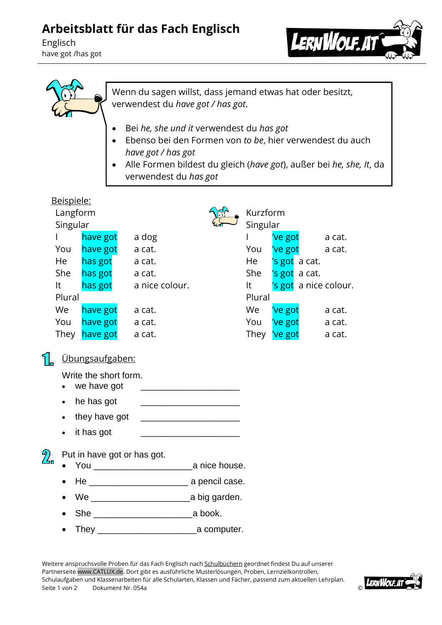## **Arbeitsblatt für das Fach Englisch**

Englisch have got /has got





Wenn du sagen willst, dass jemand etwas hat oder besitzt, verwendest du *have got / has got*.

- Bei *he, she und it* verwendest du *has got*
- Ebenso bei den Formen von *to be*, hier verwendest du auch *have got / has got*
- Alle Formen bildest du gleich (*have got*), außer bei *he, she, It*, da verwendest du *has got*

| Beispiele:                                     |                                      |                              |                                                  |          |              |         |                           |                       |
|------------------------------------------------|--------------------------------------|------------------------------|--------------------------------------------------|----------|--------------|---------|---------------------------|-----------------------|
|                                                | Langform                             |                              |                                                  | Kurzform |              |         |                           |                       |
|                                                | Singular                             |                              |                                                  |          | Singular     |         |                           |                       |
|                                                |                                      | have got                     | a dog                                            |          | $\mathbf{I}$ |         | 've got a cat.            |                       |
|                                                | You                                  | have got                     | a cat.                                           |          | You          |         | 've got a cat.            |                       |
|                                                | He                                   | has got                      | a cat.                                           |          | He           |         | 's got a cat.             |                       |
|                                                | She                                  | has got                      | a cat.                                           |          | She          |         | 's got a cat.             |                       |
| It                                             |                                      | has got                      | a nice colour.                                   |          | $It -$       |         |                           | 's got a nice colour. |
|                                                | Plural                               |                              |                                                  |          | Plural       |         |                           |                       |
|                                                | We                                   | have got                     | a cat.                                           |          | We           | 've got |                           | a cat.                |
|                                                | You                                  | have got a cat.              |                                                  |          | You          |         | 've got a cat.            |                       |
|                                                |                                      | They l <mark>have got</mark> | a cat.                                           |          |              |         | They <mark>'ve got</mark> | a cat.                |
|                                                |                                      | <u>Übungsaufgaben:</u>       |                                                  |          |              |         |                           |                       |
|                                                | Write the short form.<br>we have got |                              |                                                  |          |              |         |                           |                       |
|                                                |                                      | he has got                   |                                                  |          |              |         |                           |                       |
|                                                | they have got                        |                              |                                                  |          |              |         |                           |                       |
|                                                |                                      | it has got                   |                                                  |          |              |         |                           |                       |
| $2\overline{ }$<br>Put in have got or has got. |                                      |                              |                                                  |          |              |         |                           |                       |
|                                                |                                      |                              |                                                  |          |              |         |                           |                       |
|                                                |                                      | He                           | <u>__________________________</u> a pencil case. |          |              |         |                           |                       |

- We \_\_\_\_\_\_\_\_\_\_\_\_\_\_\_\_\_\_\_\_a big garden.
- She \_\_\_\_\_\_\_\_\_\_\_\_\_\_\_\_\_\_\_\_a book.
- They \_\_\_\_\_\_\_\_\_\_\_\_\_\_\_\_\_\_\_\_a computer.

Weitere anspruchsvolle Proben für das Fach Englisch nach Schulbüchern geordnet findest Du auf unserer Partnerseite www.CATLUX.de. Dort gibt es ausführliche Musterlösungen, Proben, Lernzielkontrollen, Schulaufgaben und Klassenarbeiten für alle Schularten, Klassen und Fächer, passend zum aktuellen Lehrplan. Seite 1 von 2 Dokument Nr. 054a